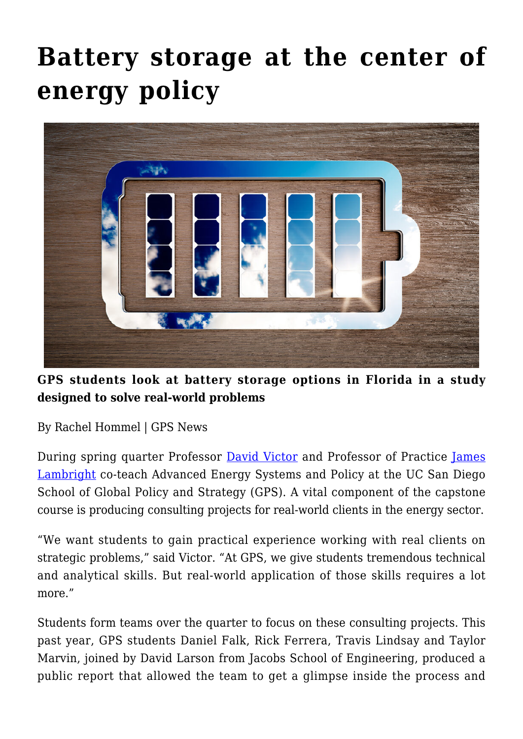## **[Battery storage at the center of](https://gpsnews.ucsd.edu/battery-storage-at-the-center-of-energy-policy/) [energy policy](https://gpsnews.ucsd.edu/battery-storage-at-the-center-of-energy-policy/)**



**GPS students look at battery storage options in Florida in a study designed to solve real-world problems**

By Rachel Hommel | GPS News

During spring quarter Professor [David Victor](https://gps.ucsd.edu/faculty-directory/david-victor.html) and Professor of Practice [James](https://gps.ucsd.edu/faculty-directory/jim-lambright.html) [Lambright](https://gps.ucsd.edu/faculty-directory/jim-lambright.html) co-teach Advanced Energy Systems and Policy at the UC San Diego School of Global Policy and Strategy (GPS). A vital component of the capstone course is producing consulting projects for real-world clients in the energy sector.

"We want students to gain practical experience working with real clients on strategic problems," said Victor. "At GPS, we give students tremendous technical and analytical skills. But real-world application of those skills requires a lot more."

Students form teams over the quarter to focus on these consulting projects. This past year, GPS students Daniel Falk, Rick Ferrera, Travis Lindsay and Taylor Marvin, joined by David Larson from Jacobs School of Engineering, produced a public report that allowed the team to get a glimpse inside the process and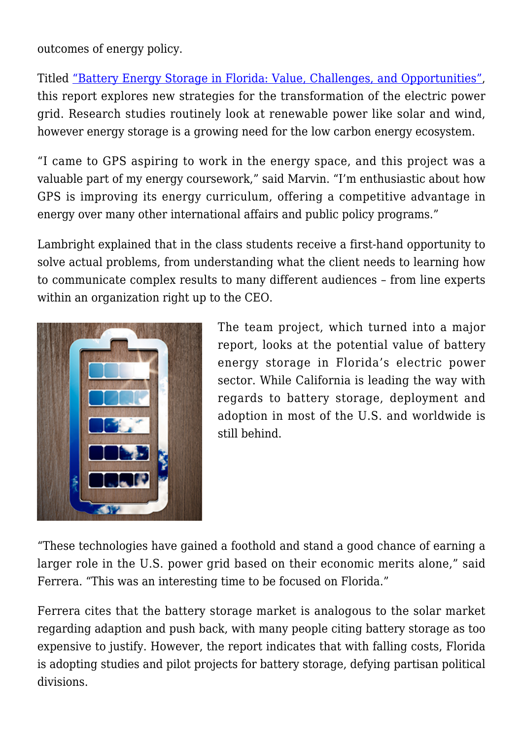outcomes of energy policy.

Titled ["Battery Energy Storage in Florida: Value, Challenges, and Opportunities",](https://gps.ucsd.edu/_files/research/battery_energy_storage_in_florida.pdf) this report explores new strategies for the transformation of the electric power grid. Research studies routinely look at renewable power like solar and wind, however energy storage is a growing need for the low carbon energy ecosystem.

"I came to GPS aspiring to work in the energy space, and this project was a valuable part of my energy coursework," said Marvin. "I'm enthusiastic about how GPS is improving its energy curriculum, offering a competitive advantage in energy over many other international affairs and public policy programs."

Lambright explained that in the class students receive a first-hand opportunity to solve actual problems, from understanding what the client needs to learning how to communicate complex results to many different audiences – from line experts within an organization right up to the CEO.



The team project, which turned into a major report, looks at the potential value of battery energy storage in Florida's electric power sector. While California is leading the way with regards to battery storage, deployment and adoption in most of the U.S. and worldwide is still behind.

"These technologies have gained a foothold and stand a good chance of earning a larger role in the U.S. power grid based on their economic merits alone," said Ferrera. "This was an interesting time to be focused on Florida."

Ferrera cites that the battery storage market is analogous to the solar market regarding adaption and push back, with many people citing battery storage as too expensive to justify. However, the report indicates that with falling costs, Florida is adopting studies and pilot projects for battery storage, defying partisan political divisions.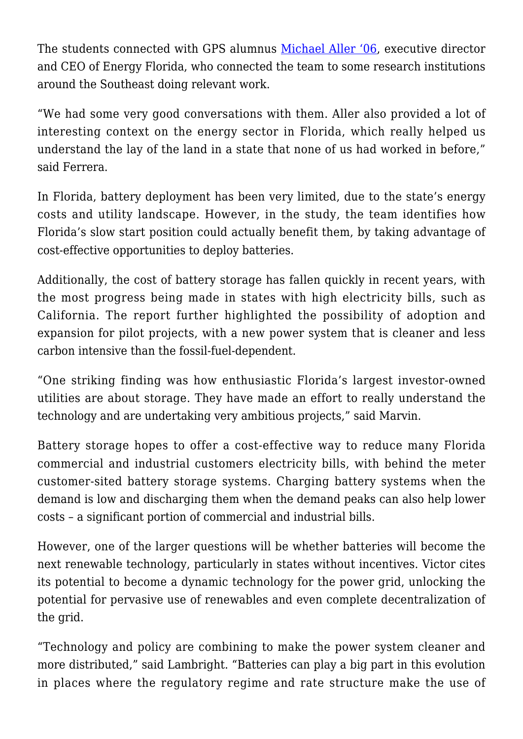The students connected with GPS alumnus [Michael Aller '06](https://energyflorida.org/team/), executive director and CEO of Energy Florida, who connected the team to some research institutions around the Southeast doing relevant work.

"We had some very good conversations with them. Aller also provided a lot of interesting context on the energy sector in Florida, which really helped us understand the lay of the land in a state that none of us had worked in before," said Ferrera.

In Florida, battery deployment has been very limited, due to the state's energy costs and utility landscape. However, in the study, the team identifies how Florida's slow start position could actually benefit them, by taking advantage of cost-effective opportunities to deploy batteries.

Additionally, the cost of battery storage has fallen quickly in recent years, with the most progress being made in states with high electricity bills, such as California. The report further highlighted the possibility of adoption and expansion for pilot projects, with a new power system that is cleaner and less carbon intensive than the fossil-fuel-dependent.

"One striking finding was how enthusiastic Florida's largest investor-owned utilities are about storage. They have made an effort to really understand the technology and are undertaking very ambitious projects," said Marvin.

Battery storage hopes to offer a cost-effective way to reduce many Florida commercial and industrial customers electricity bills, with behind the meter customer-sited battery storage systems. Charging battery systems when the demand is low and discharging them when the demand peaks can also help lower costs – a significant portion of commercial and industrial bills.

However, one of the larger questions will be whether batteries will become the next renewable technology, particularly in states without incentives. Victor cites its potential to become a dynamic technology for the power grid, unlocking the potential for pervasive use of renewables and even complete decentralization of the grid.

"Technology and policy are combining to make the power system cleaner and more distributed," said Lambright. "Batteries can play a big part in this evolution in places where the regulatory regime and rate structure make the use of